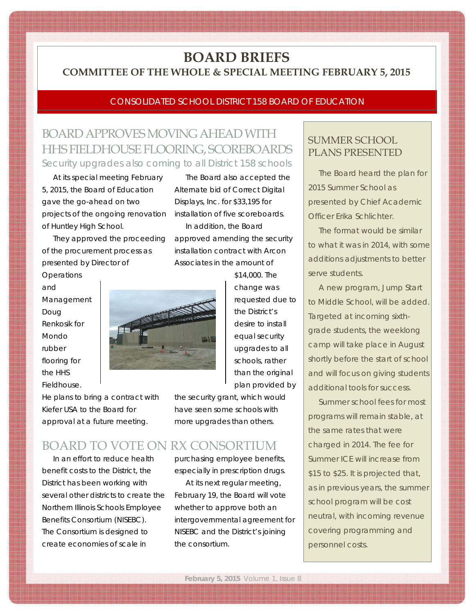# **BOARD BRIEFS COMMITTEE OF THE WHOLE & SPECIAL MEETING FEBRUARY 5, 2015**

### CONSOLIDATED SCHOOL DISTRICT 158 BOARD OF EDUCATION

The Board also accepted the Alternate bid of Correct Digital Displays, Inc. for \$33,195 for installation of five scoreboards. In addition, the Board

approved amending the security installation contract with Arcon Associates in the amount of

> \$14,000. The change was requested due to the District's desire to install equal security upgrades to all schools, rather than the original plan provided by

## BOARD APPROVES MOVING AHEAD WITH HHS FIELDHOUSE FLOORING, SCOREBOARDS Security upgrades also coming to all District 158 schools

At its special meeting February 5, 2015, the Board of Education gave the go-ahead on two projects of the ongoing renovation of Huntley High School.

They approved the proceeding of the procurement process as presented by Director of

**Operations** and Management Doug Renkosik for Mondo rubber flooring for the HHS Fieldhouse.



He plans to bring a contract with Kiefer USA to the Board for approval at a future meeting.

the security grant, which would have seen some schools with more upgrades than others.

## BOARD TO VOTE ON RX CONSORTIUM

In an effort to reduce health benefit costs to the District, the District has been working with several other districts to create the Northern Illinois Schools Employee Benefits Consortium (NISEBC). The Consortium is designed to create economies of scale in

purchasing employee benefits, especially in prescription drugs.

At its next regular meeting, February 19, the Board will vote whether to approve both an intergovernmental agreement for NISEBC and the District's joining the consortium.

## SUMMER SCHOOL PLANS PRESENTED

The Board heard the plan for 2015 Summer School as presented by Chief Academic Officer Erika Schlichter.

m m m m m m ▩ m m × m

▩ m

m m

▩ m m m m m ▩ ▩ m m m

The format would be similar to what it was in 2014, with some additions adjustments to better serve students.

A new program, Jump Start to Middle School, will be added. Targeted at incoming sixthgrade students, the weeklong camp will take place in August shortly before the start of school and will focus on giving students additional tools for success.

Summer school fees for most programs will remain stable, at the same rates that were charged in 2014. The fee for Summer ICE will increase from \$15 to \$25. It is projected that, as in previous years, the summer school program will be cost neutral, with incoming revenue covering programming and personnel costs.

<u> Tanzania a matsay a matsay na matsay na matsay na matsay na matsay na matsay na matsay na matsay na matsay n</u>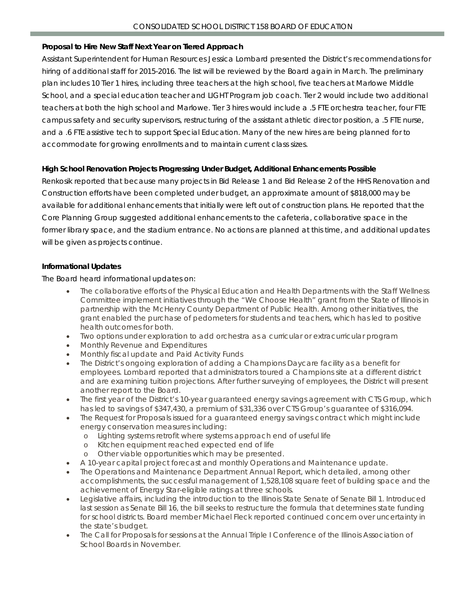### **Proposal to Hire New Staff Next Year on Tiered Approach**

Assistant Superintendent for Human Resources Jessica Lombard presented the District's recommendations for hiring of additional staff for 2015-2016. The list will be reviewed by the Board again in March. The preliminary plan includes 10 Tier 1 hires, including three teachers at the high school, five teachers at Marlowe Middle School, and a special education teacher and LIGHT Program job coach. Tier 2 would include two additional teachers at both the high school and Marlowe. Tier 3 hires would include a .5 FTE orchestra teacher, four FTE campus safety and security supervisors, restructuring of the assistant athletic director position, a .5 FTE nurse, and a .6 FTE assistive tech to support Special Education. Many of the new hires are being planned for to accommodate for growing enrollments and to maintain current class sizes.

### **High School Renovation Projects Progressing Under Budget, Additional Enhancements Possible**

Renkosik reported that because many projects in Bid Release 1 and Bid Release 2 of the HHS Renovation and Construction efforts have been completed under budget, an approximate amount of \$818,000 may be available for additional enhancements that initially were left out of construction plans. He reported that the Core Planning Group suggested additional enhancements to the cafeteria, collaborative space in the former library space, and the stadium entrance. No actions are planned at this time, and additional updates will be given as projects continue.

### **Informational Updates**

The Board heard informational updates on:

- The collaborative efforts of the Physical Education and Health Departments with the Staff Wellness Committee implement initiatives through the "We Choose Health" grant from the State of Illinois in partnership with the McHenry County Department of Public Health. Among other initiatives, the grant enabled the purchase of pedometers for students and teachers, which has led to positive health outcomes for both.
- Two options under exploration to add orchestra as a curricular or extracurricular program
- Monthly Revenue and Expenditures
- Monthly fiscal update and Paid Activity Funds
- The District's ongoing exploration of adding a Champions Daycare facility as a benefit for employees. Lombard reported that administrators toured a Champions site at a different district and are examining tuition projections. After further surveying of employees, the District will present another report to the Board.
- The first year of the District's 10-year guaranteed energy savings agreement with CTS Group, which has led to savings of \$347,430, a premium of \$31,336 over CTS Group's guarantee of \$316,094.
- The Request for Proposals issued for a guaranteed energy savings contract which might include energy conservation measures including:
	- o Lighting systems retrofit where systems approach end of useful life
	- o Kitchen equipment reached expected end of life
	- o Other viable opportunities which may be presented.
- A 10-year capital project forecast and monthly Operations and Maintenance update.
- The Operations and Maintenance Department Annual Report, which detailed, among other accomplishments, the successful management of 1,528,108 square feet of building space and the achievement of Energy Star-eligible ratings at three schools.
- Legislative affairs, including the introduction to the Illinois State Senate of Senate Bill 1. Introduced last session as Senate Bill 16, the bill seeks to restructure the formula that determines state funding for school districts. Board member Michael Fleck reported continued concern over uncertainty in the state's budget.
- The Call for Proposals for sessions at the Annual Triple I Conference of the Illinois Association of School Boards in November.